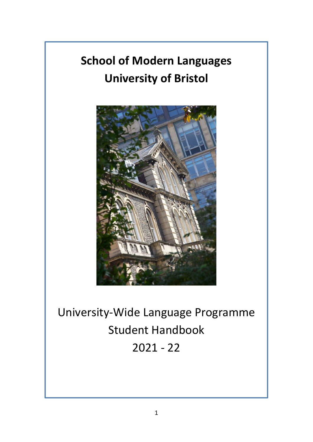# **School of Modern Languages University of Bristol**



University-Wide Language Programme Student Handbook 2021 - 22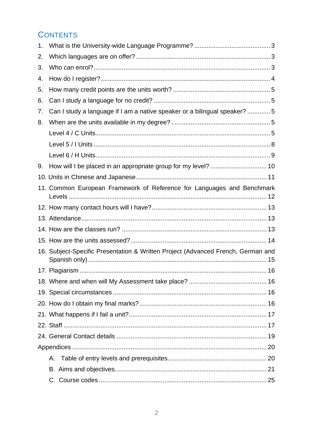# **CONTENTS**

| 1. |                                                                                  |  |
|----|----------------------------------------------------------------------------------|--|
| 2. |                                                                                  |  |
| 3. |                                                                                  |  |
| 4. |                                                                                  |  |
| 5. |                                                                                  |  |
| 6. |                                                                                  |  |
| 7. | Can I study a language if I am a native speaker or a bilingual speaker? 5        |  |
| 8. |                                                                                  |  |
|    |                                                                                  |  |
|    |                                                                                  |  |
|    |                                                                                  |  |
| 9. | How will I be placed in an appropriate group for my level?  10                   |  |
|    |                                                                                  |  |
|    | 11. Common European Framework of Reference for Languages and Benchmark           |  |
|    |                                                                                  |  |
|    |                                                                                  |  |
|    |                                                                                  |  |
|    |                                                                                  |  |
|    | 16. Subject-Specific Presentation & Written Project (Advanced French, German and |  |
|    |                                                                                  |  |
|    |                                                                                  |  |
|    |                                                                                  |  |
|    |                                                                                  |  |
|    |                                                                                  |  |
|    |                                                                                  |  |
|    |                                                                                  |  |
|    |                                                                                  |  |
|    | А.                                                                               |  |
|    |                                                                                  |  |
|    |                                                                                  |  |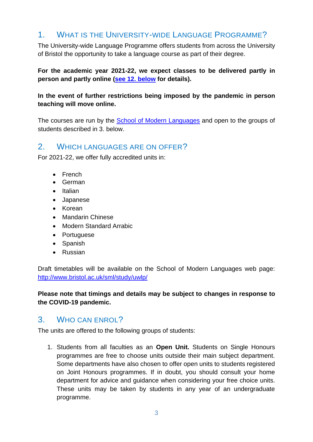# <span id="page-2-0"></span>1. WHAT IS THE UNIVERSITY-WIDE LANGUAGE PROGRAMME?

The University-wide Language Programme offers students from across the University of Bristol the opportunity to take a language course as part of their degree.

**For the academic year 2021-22, we expect classes to be delivered partly in person and partly online [\(see 12. below](#page-12-0) for details).**

### **In the event of further restrictions being imposed by the pandemic in person teaching will move online.**

The courses are run by the [School of Modern Languages](http://www.bris.ac.uk/sml) and open to the groups of students described in 3. below.

### <span id="page-2-1"></span>2. WHICH LANGUAGES ARE ON OFFER?

For 2021-22, we offer fully accredited units in:

- French
- German
- Italian
- Japanese
- Korean
- Mandarin Chinese
- Modern Standard Arrabic
- Portuguese
- Spanish
- Russian

Draft timetables will be available on the School of Modern Languages web page: <http://www.bristol.ac.uk/sml/study/uwlp/>

**Please note that timings and details may be subject to changes in response to the COVID-19 pandemic.**

### <span id="page-2-2"></span>3. WHO CAN ENROL?

The units are offered to the following groups of students:

1. Students from all faculties as an **Open Unit.** Students on Single Honours programmes are free to choose units outside their main subject department. Some departments have also chosen to offer open units to students registered on Joint Honours programmes. If in doubt, you should consult your home department for advice and guidance when considering your free choice units. These units may be taken by students in any year of an undergraduate programme.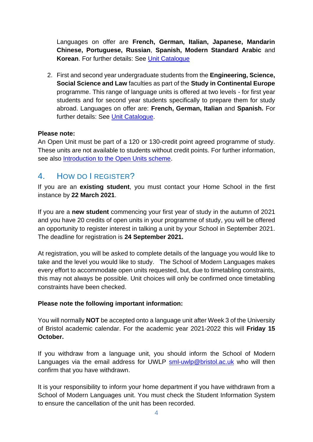Languages on offer are **French, German, Italian, Japanese, Mandarin Chinese, Portuguese, Russian**, **Spanish, Modern Standard Arabic** and **Korean**. For further details: See [Unit Catalogue](http://www.bris.ac.uk/esu/unitprogcat/)

2. First and second year undergraduate students from the **Engineering, Science, Social Science and Law** faculties as part of the **Study in Continental Europe** programme. This range of language units is offered at two levels - for first year students and for second year students specifically to prepare them for study abroad. Languages on offer are: **French, German, Italian** and **Spanish.** For further details: See [Unit Catalogue.](http://www.bris.ac.uk/esu/unitprogcat/Welcome.jsa)

### **Please note:**

An Open Unit must be part of a 120 or 130-credit point agreed programme of study. These units are not available to students without credit points. For further information, see also [Introduction to the Open Units scheme.](http://www.bristol.ac.uk/academic-quality/approve/openunits/)

# <span id="page-3-0"></span>4. HOW DO I REGISTER?

If you are an **existing student**, you must contact your Home School in the first instance by **22 March 2021**.

If you are a **new student** commencing your first year of study in the autumn of 2021 and you have 20 credits of open units in your programme of study, you will be offered an opportunity to register interest in talking a unit by your School in September 2021. The deadline for registration is **24 September 2021.**

At registration, you will be asked to complete details of the language you would like to take and the level you would like to study. The School of Modern Languages makes every effort to accommodate open units requested, but, due to timetabling constraints, this may not always be possible. Unit choices will only be confirmed once timetabling constraints have been checked.

### **Please note the following important information:**

You will normally **NOT** be accepted onto a language unit after Week 3 of the University of Bristol academic calendar. For the academic year 2021-2022 this will **Friday 15 October.**

If you withdraw from a language unit, you should inform the School of Modern Languages via the email address for UWLP [sml-uwlp@bristol.ac.uk](mailto:sml-uwlp@bristol.ac.uk) who will then confirm that you have withdrawn.

It is your responsibility to inform your home department if you have withdrawn from a School of Modern Languages unit. You must check the Student Information System to ensure the cancellation of the unit has been recorded.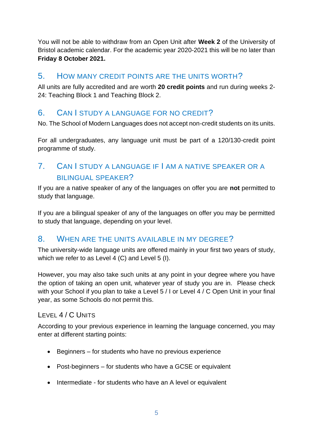You will not be able to withdraw from an Open Unit after **Week 2** of the University of Bristol academic calendar. For the academic year 2020-2021 this will be no later than **Friday 8 October 2021.**

### <span id="page-4-0"></span>5. HOW MANY CREDIT POINTS ARE THE UNITS WORTH?

All units are fully accredited and are worth **20 credit points** and run during weeks 2- 24: Teaching Block 1 and Teaching Block 2.

# <span id="page-4-1"></span>6. CAN I STUDY A LANGUAGE FOR NO CREDIT?

No. The School of Modern Languages does not accept non-credit students on its units.

For all undergraduates, any language unit must be part of a 120/130-credit point programme of study.

# <span id="page-4-2"></span>7. CAN I STUDY A LANGUAGE IF I AM A NATIVE SPEAKER OR A BILINGUAL SPEAKER?

If you are a native speaker of any of the languages on offer you are **not** permitted to study that language.

If you are a bilingual speaker of any of the languages on offer you may be permitted to study that language, depending on your level.

### <span id="page-4-3"></span>8. WHEN ARE THE UNITS AVAILABLE IN MY DEGREE?

The university-wide language units are offered mainly in your first two years of study, which we refer to as Level 4 (C) and Level 5 (I).

However, you may also take such units at any point in your degree where you have the option of taking an open unit, whatever year of study you are in. Please check with your School if you plan to take a Level 5 / I or Level 4 / C Open Unit in your final year, as some Schools do not permit this.

### <span id="page-4-4"></span>LEVEL 4 / C UNITS

According to your previous experience in learning the language concerned, you may enter at different starting points:

- Beginners for students who have no previous experience
- Post-beginners for students who have a GCSE or equivalent
- Intermediate for students who have an A level or equivalent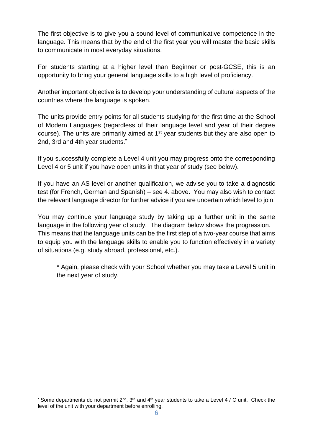The first objective is to give you a sound level of communicative competence in the language. This means that by the end of the first year you will master the basic skills to communicate in most everyday situations.

For students starting at a higher level than Beginner or post-GCSE, this is an opportunity to bring your general language skills to a high level of proficiency.

Another important objective is to develop your understanding of cultural aspects of the countries where the language is spoken.

The units provide entry points for all students studying for the first time at the School of Modern Languages (regardless of their language level and year of their degree course). The units are primarily aimed at  $1<sup>st</sup>$  year students but they are also open to 2nd, 3rd and 4th year students.**\***

If you successfully complete a Level 4 unit you may progress onto the corresponding Level 4 or 5 unit if you have open units in that year of study (see below).

If you have an AS level or another qualification, we advise you to take a diagnostic test (for French, German and Spanish) – see 4. above. You may also wish to contact the relevant language director for further advice if you are uncertain which level to join.

You may continue your language study by taking up a further unit in the same language in the following year of study. The diagram below shows the progression. This means that the language units can be the first step of a two-year course that aims to equip you with the language skills to enable you to function effectively in a variety of situations (e.g. study abroad, professional, etc.).

\* Again, please check with your School whether you may take a Level 5 unit in the next year of study.

<sup>\*</sup> Some departments do not permit  $2^{nd}$ ,  $3^{rd}$  and  $4^{th}$  year students to take a Level 4 / C unit. Check the level of the unit with your department before enrolling.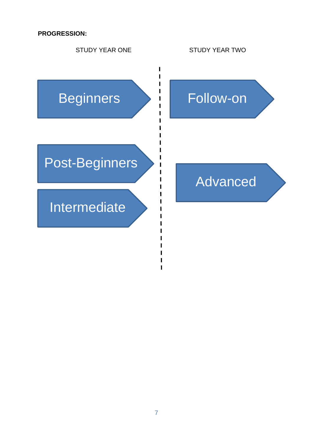**PROGRESSION:**

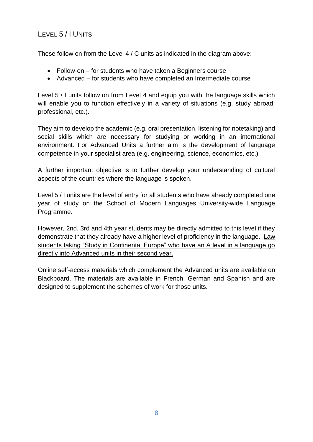# <span id="page-7-0"></span>LEVEL 5 / I UNITS

These follow on from the Level 4 / C units as indicated in the diagram above:

- Follow-on for students who have taken a Beginners course
- Advanced for students who have completed an Intermediate course

Level 5 / I units follow on from Level 4 and equip you with the language skills which will enable you to function effectively in a variety of situations (e.g. study abroad, professional, etc.).

They aim to develop the academic (e.g. oral presentation, listening for notetaking) and social skills which are necessary for studying or working in an international environment. For Advanced Units a further aim is the development of language competence in your specialist area (e.g. engineering, science, economics, etc.)

A further important objective is to further develop your understanding of cultural aspects of the countries where the language is spoken.

Level 5 / I units are the level of entry for all students who have already completed one year of study on the School of Modern Languages University-wide Language Programme.

However, 2nd, 3rd and 4th year students may be directly admitted to this level if they demonstrate that they already have a higher level of proficiency in the language. Law students taking "Study in Continental Europe" who have an A level in a language go directly into Advanced units in their second year.

Online self-access materials which complement the Advanced units are available on Blackboard. The materials are available in French, German and Spanish and are designed to supplement the schemes of work for those units.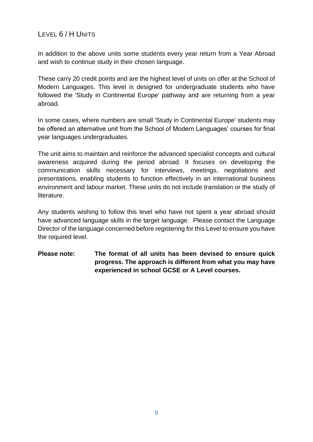### <span id="page-8-0"></span>LEVEL 6 / H UNITS

In addition to the above units some students every year return from a Year Abroad and wish to continue study in their chosen language.

These carry 20 credit points and are the highest level of units on offer at the School of Modern Languages. This level is designed for undergraduate students who have followed the 'Study in Continental Europe' pathway and are returning from a year abroad.

In some cases, where numbers are small 'Study in Continental Europe' students may be offered an alternative unit from the School of Modern Languages' courses for final year languages undergraduates.

The unit aims to maintain and reinforce the advanced specialist concepts and cultural awareness acquired during the period abroad. It focuses on developing the communication skills necessary for interviews, meetings, negotiations and presentations, enabling students to function effectively in an international business environment and labour market. These units do not include translation or the study of literature.

Any students wishing to follow this level who have not spent a year abroad should have advanced language skills in the target language. Please contact the Language Director of the language concerned before registering for this Level to ensure you have the required level.

### **Please note: The format of all units has been devised to ensure quick progress. The approach is different from what you may have experienced in school GCSE or A Level courses.**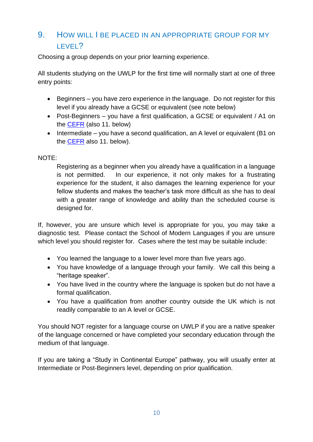# <span id="page-9-0"></span>9. HOW WILL I BE PLACED IN AN APPROPRIATE GROUP FOR MY LEVEL?

Choosing a group depends on your prior learning experience.

All students studying on the UWLP for the first time will normally start at one of three entry points:

- Beginners you have zero experience in the language. Do not register for this level if you already have a GCSE or equivalent (see note below)
- Post-Beginners you have a first qualification, a GCSE or equivalent / A1 on the [CEFR](http://www.coe.int/t/dg4/linguistic/cadre1_en.asp) (also 11. below)
- Intermediate you have a second qualification, an A level or equivalent (B1 on the [CEFR](http://www.coe.int/t/dg4/linguistic/cadre1_en.asp) also 11. below).

### NOTE:

Registering as a beginner when you already have a qualification in a language is not permitted. In our experience, it not only makes for a frustrating experience for the student, it also damages the learning experience for your fellow students and makes the teacher's task more difficult as she has to deal with a greater range of knowledge and ability than the scheduled course is designed for.

If, however, you are unsure which level is appropriate for you, you may take a diagnostic test. Please contact the School of Modern Languages if you are unsure which level you should register for. Cases where the test may be suitable include:

- You learned the language to a lower level more than five years ago.
- You have knowledge of a language through your family. We call this being a "heritage speaker".
- You have lived in the country where the language is spoken but do not have a formal qualification.
- You have a qualification from another country outside the UK which is not readily comparable to an A level or GCSE.

You should NOT register for a language course on UWLP if you are a native speaker of the language concerned or have completed your secondary education through the medium of that language.

If you are taking a "Study in Continental Europe" pathway, you will usually enter at Intermediate or Post-Beginners level, depending on prior qualification.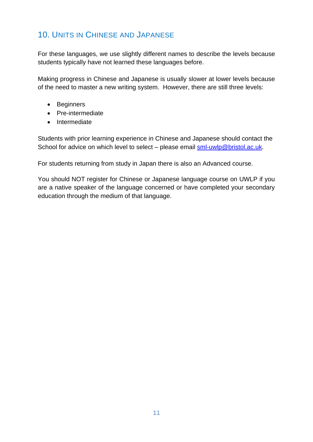# <span id="page-10-0"></span>10. UNITS IN CHINESE AND JAPANESE

For these languages, we use slightly different names to describe the levels because students typically have not learned these languages before.

Making progress in Chinese and Japanese is usually slower at lower levels because of the need to master a new writing system. However, there are still three levels:

- Beginners
- Pre-intermediate
- Intermediate

Students with prior learning experience in Chinese and Japanese should contact the School for advice on which level to select – please email [sml-uwlp@bristol.ac.uk.](mailto:sml-uwlp@bristol.ac.uk)

For students returning from study in Japan there is also an Advanced course.

You should NOT register for Chinese or Japanese language course on UWLP if you are a native speaker of the language concerned or have completed your secondary education through the medium of that language.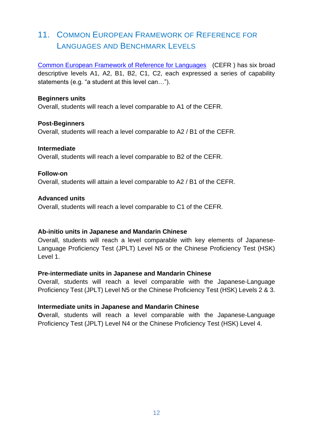# <span id="page-11-0"></span>11. COMMON EUROPEAN FRAMEWORK OF REFERENCE FOR LANGUAGES AND BENCHMARK LEVELS

[Common European Framework of Reference for Languages](http://www.coe.int/t/dg4/linguistic/cadre1_en.asp) (CEFR ) has six broad descriptive levels A1, A2, B1, B2, C1, C2, each expressed a series of capability statements (e.g. "a student at this level can…").

#### **Beginners units**

Overall, students will reach a level comparable to A1 of the CEFR.

#### **Post-Beginners**

Overall, students will reach a level comparable to A2 / B1 of the CEFR.

#### **Intermediate**

Overall, students will reach a level comparable to B2 of the CEFR.

#### **Follow-on**

Overall, students will attain a level comparable to A2 / B1 of the CEFR.

#### **Advanced units**

Overall, students will reach a level comparable to C1 of the CEFR.

#### **Ab-initio units in Japanese and Mandarin Chinese**

Overall, students will reach a level comparable with key elements of Japanese-Language Proficiency Test (JPLT) Level N5 or the Chinese Proficiency Test (HSK) Level 1.

#### **Pre-intermediate units in Japanese and Mandarin Chinese**

Overall, students will reach a level comparable with the Japanese-Language Proficiency Test (JPLT) Level N5 or the Chinese Proficiency Test (HSK) Levels 2 & 3.

#### **Intermediate units in Japanese and Mandarin Chinese**

**O**verall, students will reach a level comparable with the Japanese-Language Proficiency Test (JPLT) Level N4 or the Chinese Proficiency Test (HSK) Level 4.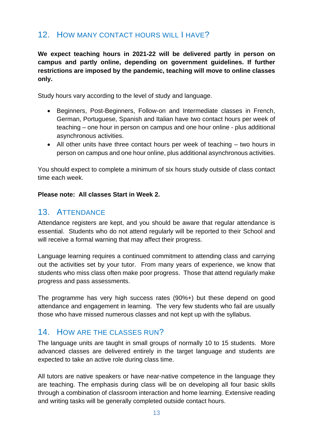# <span id="page-12-0"></span>12. HOW MANY CONTACT HOURS WILL I HAVE?

**We expect teaching hours in 2021-22 will be delivered partly in person on campus and partly online, depending on government guidelines. If further restrictions are imposed by the pandemic, teaching will move to online classes only.**

Study hours vary according to the level of study and language.

- Beginners, Post-Beginners, Follow-on and Intermediate classes in French, German, Portuguese, Spanish and Italian have two contact hours per week of teaching – one hour in person on campus and one hour online - plus additional asynchronous activities.
- All other units have three contact hours per week of teaching two hours in person on campus and one hour online, plus additional asynchronous activities.

You should expect to complete a minimum of six hours study outside of class contact time each week.

#### <span id="page-12-1"></span>**Please note: All classes Start in Week 2.**

### 13. ATTENDANCE

Attendance registers are kept, and you should be aware that regular attendance is essential. Students who do not attend regularly will be reported to their School and will receive a formal warning that may affect their progress.

Language learning requires a continued commitment to attending class and carrying out the activities set by your tutor. From many years of experience, we know that students who miss class often make poor progress. Those that attend regularly make progress and pass assessments.

The programme has very high success rates (90%+) but these depend on good attendance and engagement in learning. The very few students who fail are usually those who have missed numerous classes and not kept up with the syllabus.

### <span id="page-12-2"></span>14. HOW ARE THE CLASSES RUN?

The language units are taught in small groups of normally 10 to 15 students. More advanced classes are delivered entirely in the target language and students are expected to take an active role during class time.

All tutors are native speakers or have near-native competence in the language they are teaching. The emphasis during class will be on developing all four basic skills through a combination of classroom interaction and home learning. Extensive reading and writing tasks will be generally completed outside contact hours.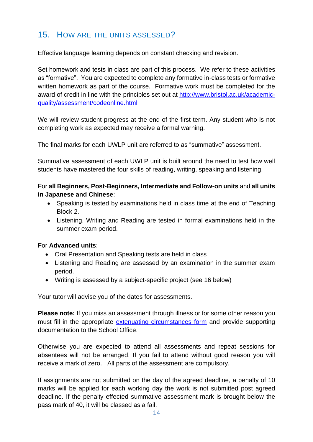# <span id="page-13-0"></span>15. HOW ARE THE UNITS ASSESSED?

Effective language learning depends on constant checking and revision.

Set homework and tests in class are part of this process. We refer to these activities as "formative". You are expected to complete any formative in-class tests or formative written homework as part of the course. Formative work must be completed for the award of credit in line with the principles set out at [http://www.bristol.ac.uk/academic](http://www.bristol.ac.uk/academic-quality/assessment/codeonline.html)[quality/assessment/codeonline.html](http://www.bristol.ac.uk/academic-quality/assessment/codeonline.html)

We will review student progress at the end of the first term. Any student who is not completing work as expected may receive a formal warning.

The final marks for each UWLP unit are referred to as "summative" assessment.

Summative assessment of each UWLP unit is built around the need to test how well students have mastered the four skills of reading, writing, speaking and listening.

For **all Beginners, Post-Beginners, Intermediate and Follow-on units** and **all units in Japanese and Chinese**:

- Speaking is tested by examinations held in class time at the end of Teaching Block 2.
- Listening, Writing and Reading are tested in formal examinations held in the summer exam period.

#### For **Advanced units**:

- Oral Presentation and Speaking tests are held in class
- Listening and Reading are assessed by an examination in the summer exam period.
- Writing is assessed by a subject-specific project (see 16 below)

Your tutor will advise you of the dates for assessments.

**Please note:** If you miss an assessment through illness or for some other reason you must fill in the appropriate [extenuating circumstances form](http://www.bristol.ac.uk/academicregistry/policies.html) and provide supporting documentation to the School Office.

Otherwise you are expected to attend all assessments and repeat sessions for absentees will not be arranged. If you fail to attend without good reason you will receive a mark of zero. All parts of the assessment are compulsory.

If assignments are not submitted on the day of the agreed deadline, a penalty of 10 marks will be applied for each working day the work is not submitted post agreed deadline. If the penalty effected summative assessment mark is brought below the pass mark of 40, it will be classed as a fail.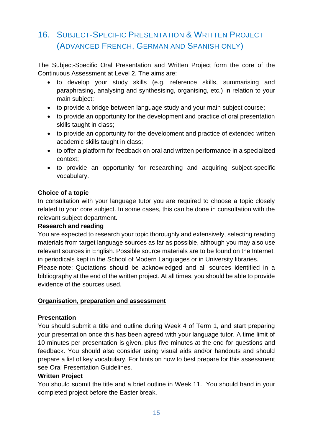# <span id="page-14-0"></span>16. SUBJECT-SPECIFIC PRESENTATION & WRITTEN PROJECT (ADVANCED FRENCH, GERMAN AND SPANISH ONLY)

The Subject-Specific Oral Presentation and Written Project form the core of the Continuous Assessment at Level 2. The aims are:

- to develop your study skills (e.g. reference skills, summarising and paraphrasing, analysing and synthesising, organising, etc.) in relation to your main subject;
- to provide a bridge between language study and your main subject course;
- to provide an opportunity for the development and practice of oral presentation skills taught in class;
- to provide an opportunity for the development and practice of extended written academic skills taught in class;
- to offer a platform for feedback on oral and written performance in a specialized context;
- to provide an opportunity for researching and acquiring subject-specific vocabulary.

### **Choice of a topic**

In consultation with your language tutor you are required to choose a topic closely related to your core subject. In some cases, this can be done in consultation with the relevant subject department.

### **Research and reading**

You are expected to research your topic thoroughly and extensively, selecting reading materials from target language sources as far as possible, although you may also use relevant sources in English. Possible source materials are to be found on the Internet, in periodicals kept in the School of Modern Languages or in University libraries.

Please note: Quotations should be acknowledged and all sources identified in a bibliography at the end of the written project. At all times, you should be able to provide evidence of the sources used.

### **Organisation, preparation and assessment**

### **Presentation**

You should submit a title and outline during Week 4 of Term 1, and start preparing your presentation once this has been agreed with your language tutor. A time limit of 10 minutes per presentation is given, plus five minutes at the end for questions and feedback. You should also consider using visual aids and/or handouts and should prepare a list of key vocabulary. For hints on how to best prepare for this assessment see [Oral Presentation Guidelines.](https://www.bris.ac.uk/languagecentre/afl/files/oralpresentationguidelines)

### **Written Project**

You should submit the title and a brief outline in Week 11. You should hand in your completed project before the Easter break.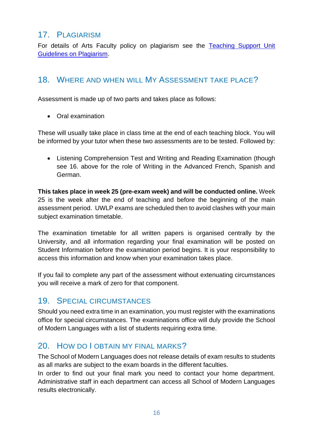### <span id="page-15-0"></span>17. PLAGIARISM

For details of Arts Faculty policy on plagiarism see the Teaching Support Unit [Guidelines on Plagiarism.](http://www.bristol.ac.uk/tsu/studentsupport/plagiarism/)

### <span id="page-15-1"></span>18. WHERE AND WHEN WILL MY ASSESSMENT TAKE PLACE?

Assessment is made up of two parts and takes place as follows:

• Oral examination

These will usually take place in class time at the end of each teaching block. You will be informed by your tutor when these two assessments are to be tested. Followed by:

• Listening Comprehension Test and Writing and Reading Examination (though see 16. above for the role of Writing in the Advanced French, Spanish and German.

**This takes place in week 25 (pre-exam week) and will be conducted online.** Week 25 is the week after the end of teaching and before the beginning of the main assessment period. UWLP exams are scheduled then to avoid clashes with your main subject examination timetable.

The examination timetable for all written papers is organised centrally by the University, and all information regarding your final examination will be posted on Student Information before the examination period begins. It is your responsibility to access this information and know when your examination takes place.

If you fail to complete any part of the assessment without extenuating circumstances you will receive a mark of zero for that component.

### <span id="page-15-2"></span>19. SPECIAL CIRCUMSTANCES

Should you need extra time in an examination, you must register with the examinations office for special circumstances. The examinations office will duly provide the School of Modern Languages with a list of students requiring extra time.

### <span id="page-15-3"></span>20. HOW DO LOBTAIN MY FINAL MARKS?

The School of Modern Languages does not release details of exam results to students as all marks are subject to the exam boards in the different faculties.

In order to find out your final mark you need to contact your home department. Administrative staff in each department can access all School of Modern Languages results electronically.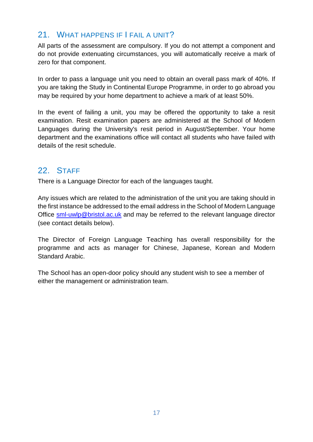# <span id="page-16-0"></span>21. WHAT HAPPENS IF I FAIL A UNIT?

All parts of the assessment are compulsory. If you do not attempt a component and do not provide extenuating circumstances, you will automatically receive a mark of zero for that component.

In order to pass a language unit you need to obtain an overall pass mark of 40%. If you are taking the Study in Continental Europe Programme, in order to go abroad you may be required by your home department to achieve a mark of at least 50%.

In the event of failing a unit, you may be offered the opportunity to take a resit examination. Resit examination papers are administered at the School of Modern Languages during the University's resit period in August/September. Your home department and the examinations office will contact all students who have failed with details of the resit schedule.

### <span id="page-16-1"></span>22. STAFF

There is a Language Director for each of the languages taught.

Any issues which are related to the administration of the unit you are taking should in the first instance be addressed to the email address in the School of Modern Language Office [sml-uwlp@bristol.ac.uk](mailto:sml-uwlp@bristol.ac.uk) and may be referred to the relevant language director (see contact details below).

The Director of Foreign Language Teaching has overall responsibility for the programme and acts as manager for Chinese, Japanese, Korean and Modern Standard Arabic.

The School has an open-door policy should any student wish to see a member of either the management or administration team.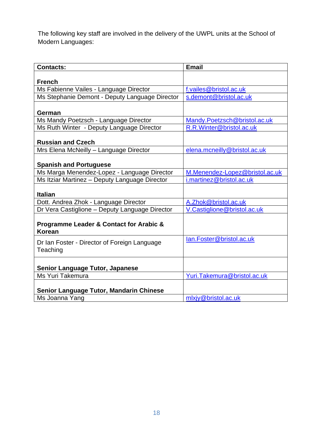The following key staff are involved in the delivery of the UWPL units at the School of Modern Languages:

| <b>Contacts:</b>                                         | <b>Email</b>                   |
|----------------------------------------------------------|--------------------------------|
| <b>French</b>                                            |                                |
| Ms Fabienne Vailes - Language Director                   | f.vailes@bristol.ac.uk         |
| Ms Stephanie Demont - Deputy Language Director           | s.demont@bristol.ac.uk         |
| German                                                   |                                |
| Ms Mandy Poetzsch - Language Director                    | Mandy.Poetzsch@bristol.ac.uk   |
| Ms Ruth Winter - Deputy Language Director                | R.R.Winter@bristol.ac.uk       |
| <b>Russian and Czech</b>                                 |                                |
| Mrs Elena McNeilly - Language Director                   | elena.mcneilly@bristol.ac.uk   |
| <b>Spanish and Portuguese</b>                            |                                |
| Ms Marga Menendez-Lopez - Language Director              | M.Menendez-Lopez@bristol.ac.uk |
| Ms Itziar Martinez - Deputy Language Director            | i.martinez@bristol.ac.uk       |
| <b>Italian</b>                                           |                                |
| Dott. Andrea Zhok - Language Director                    | A.Zhok@bristol.ac.uk           |
| Dr Vera Castiglione - Deputy Language Director           | V.Castiglione@bristol.ac.uk    |
| Programme Leader & Contact for Arabic &<br><b>Korean</b> |                                |
| Dr Ian Foster - Director of Foreign Language<br>Teaching | lan.Foster@bristol.ac.uk       |
| <b>Senior Language Tutor, Japanese</b>                   |                                |
| Ms Yuri Takemura                                         | Yuri.Takemura@bristol.ac.uk    |
| Senior Language Tutor, Mandarin Chinese                  |                                |
| Ms Joanna Yang                                           | mlxjy@bristol.ac.uk            |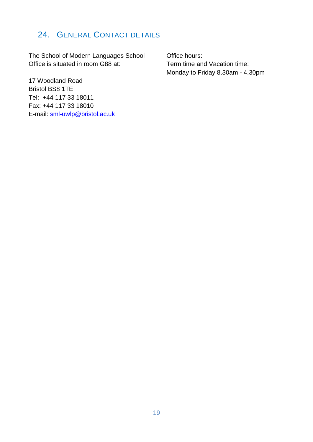# <span id="page-18-0"></span>24. GENERAL CONTACT DETAILS

The School of Modern Languages School Office is situated in room G88 at:

Office hours: Term time and Vacation time: Monday to Friday 8.30am - 4.30pm

17 Woodland Road Bristol BS8 1TE Tel: +44 117 33 18011 Fax: +44 117 33 18010 E-mail: [sml-uwlp@bristol.ac.uk](mailto:sml-uwlp@bristol.ac.uk)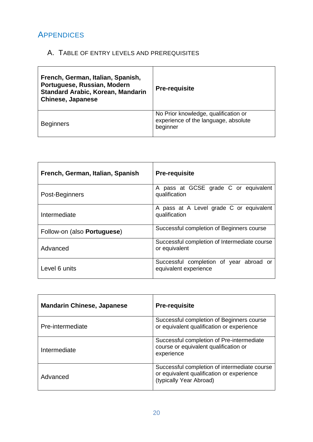# <span id="page-19-0"></span>APPENDICES

# <span id="page-19-1"></span>A. TABLE OF ENTRY LEVELS AND PREREQUISITES

| French, German, Italian, Spanish,<br>Portuguese, Russian, Modern<br><b>Standard Arabic, Korean, Mandarin</b><br><b>Chinese, Japanese</b> | <b>Pre-requisite</b>                                                                     |
|------------------------------------------------------------------------------------------------------------------------------------------|------------------------------------------------------------------------------------------|
| <b>Beginners</b>                                                                                                                         | No Prior knowledge, qualification or<br>experience of the language, absolute<br>beginner |

| French, German, Italian, Spanish    | <b>Pre-requisite</b>                                             |  |  |
|-------------------------------------|------------------------------------------------------------------|--|--|
| Post-Beginners                      | A pass at GCSE grade C or equivalent<br>qualification            |  |  |
| Intermediate                        | A pass at A Level grade C or equivalent<br>qualification         |  |  |
| Follow-on (also <b>Portuguese</b> ) | Successful completion of Beginners course                        |  |  |
| Advanced                            | Successful completion of Intermediate course<br>or equivalent    |  |  |
| Level 6 units                       | Successful completion of year abroad or<br>equivalent experience |  |  |

| <b>Mandarin Chinese, Japanese</b> | <b>Pre-requisite</b>                                                                                                 |
|-----------------------------------|----------------------------------------------------------------------------------------------------------------------|
| Pre-intermediate                  | Successful completion of Beginners course<br>or equivalent qualification or experience                               |
| Intermediate                      | Successful completion of Pre-intermediate<br>course or equivalent qualification or<br>experience                     |
| Advanced                          | Successful completion of intermediate course<br>or equivalent qualification or experience<br>(typically Year Abroad) |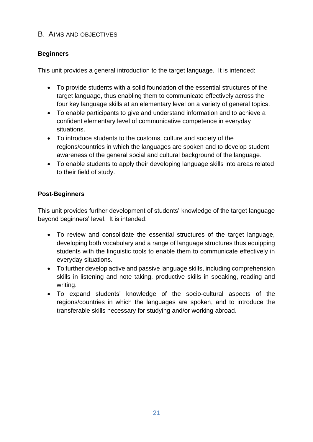### <span id="page-20-0"></span>B. AIMS AND OBJECTIVES

### **Beginners**

This unit provides a general introduction to the target language. It is intended:

- To provide students with a solid foundation of the essential structures of the target language, thus enabling them to communicate effectively across the four key language skills at an elementary level on a variety of general topics.
- To enable participants to give and understand information and to achieve a confident elementary level of communicative competence in everyday situations.
- To introduce students to the customs, culture and society of the regions/countries in which the languages are spoken and to develop student awareness of the general social and cultural background of the language.
- To enable students to apply their developing language skills into areas related to their field of study.

### **Post-Beginners**

This unit provides further development of students' knowledge of the target language beyond beginners' level. It is intended:

- To review and consolidate the essential structures of the target language, developing both vocabulary and a range of language structures thus equipping students with the linguistic tools to enable them to communicate effectively in everyday situations.
- To further develop active and passive language skills, including comprehension skills in listening and note taking, productive skills in speaking, reading and writing.
- To expand students' knowledge of the socio-cultural aspects of the regions/countries in which the languages are spoken, and to introduce the transferable skills necessary for studying and/or working abroad.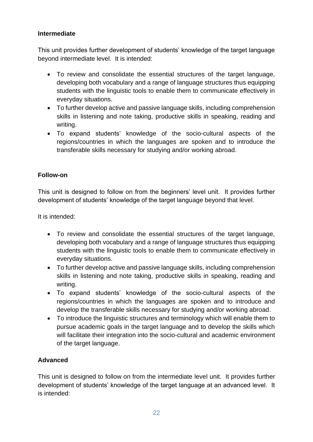### **Intermediate**

This unit provides further development of students' knowledge of the target language beyond intermediate level. It is intended:

- To review and consolidate the essential structures of the target language, developing both vocabulary and a range of language structures thus equipping students with the linguistic tools to enable them to communicate effectively in everyday situations.
- To further develop active and passive language skills, including comprehension skills in listening and note taking, productive skills in speaking, reading and writing.
- To expand students' knowledge of the socio-cultural aspects of the regions/countries in which the languages are spoken and to introduce the transferable skills necessary for studying and/or working abroad.

### **Follow-on**

This unit is designed to follow on from the beginners' level unit. It provides further development of students' knowledge of the target language beyond that level.

It is intended:

- To review and consolidate the essential structures of the target language, developing both vocabulary and a range of language structures thus equipping students with the linguistic tools to enable them to communicate effectively in everyday situations.
- To further develop active and passive language skills, including comprehension skills in listening and note taking, productive skills in speaking, reading and writing.
- To expand students' knowledge of the socio-cultural aspects of the regions/countries in which the languages are spoken and to introduce and develop the transferable skills necessary for studying and/or working abroad.
- To introduce the linguistic structures and terminology which will enable them to pursue academic goals in the target language and to develop the skills which will facilitate their integration into the socio-cultural and academic environment of the target language.

### **Advanced**

This unit is designed to follow on from the intermediate level unit. It provides further development of students' knowledge of the target language at an advanced level. It is intended: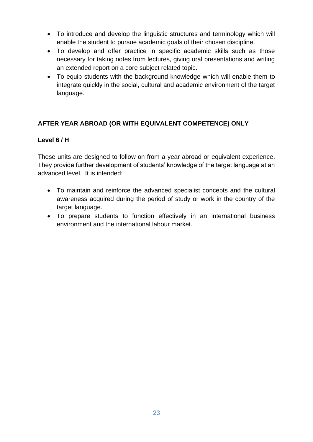- To introduce and develop the linguistic structures and terminology which will enable the student to pursue academic goals of their chosen discipline.
- To develop and offer practice in specific academic skills such as those necessary for taking notes from lectures, giving oral presentations and writing an extended report on a core subject related topic.
- To equip students with the background knowledge which will enable them to integrate quickly in the social, cultural and academic environment of the target language.

### **AFTER YEAR ABROAD (OR WITH EQUIVALENT COMPETENCE) ONLY**

### **Level 6 / H**

These units are designed to follow on from a year abroad or equivalent experience. They provide further development of students' knowledge of the target language at an advanced level. It is intended:

- To maintain and reinforce the advanced specialist concepts and the cultural awareness acquired during the period of study or work in the country of the target language.
- To prepare students to function effectively in an international business environment and the international labour market.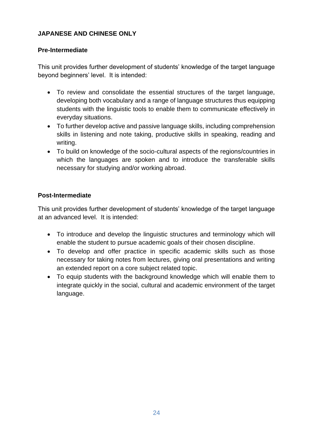### **JAPANESE AND CHINESE ONLY**

### **Pre-Intermediate**

This unit provides further development of students' knowledge of the target language beyond beginners' level. It is intended:

- To review and consolidate the essential structures of the target language, developing both vocabulary and a range of language structures thus equipping students with the linguistic tools to enable them to communicate effectively in everyday situations.
- To further develop active and passive language skills, including comprehension skills in listening and note taking, productive skills in speaking, reading and writing.
- To build on knowledge of the socio-cultural aspects of the regions/countries in which the languages are spoken and to introduce the transferable skills necessary for studying and/or working abroad.

### **Post-Intermediate**

This unit provides further development of students' knowledge of the target language at an advanced level. It is intended:

- To introduce and develop the linguistic structures and terminology which will enable the student to pursue academic goals of their chosen discipline.
- To develop and offer practice in specific academic skills such as those necessary for taking notes from lectures, giving oral presentations and writing an extended report on a core subject related topic.
- To equip students with the background knowledge which will enable them to integrate quickly in the social, cultural and academic environment of the target language.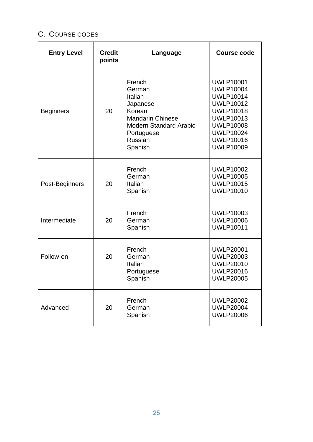# <span id="page-24-0"></span>C. COURSE CODES

| <b>Entry Level</b>                            | <b>Credit</b><br>points | Language                                                                                                                                          | <b>Course code</b>                                                                                                                                                                                   |
|-----------------------------------------------|-------------------------|---------------------------------------------------------------------------------------------------------------------------------------------------|------------------------------------------------------------------------------------------------------------------------------------------------------------------------------------------------------|
| <b>Beginners</b>                              | 20                      | French<br>German<br>Italian<br>Japanese<br>Korean<br><b>Mandarin Chinese</b><br><b>Modern Standard Arabic</b><br>Portuguese<br>Russian<br>Spanish | <b>UWLP10001</b><br><b>UWLP10004</b><br><b>UWLP10014</b><br><b>UWLP10012</b><br><b>UWLP10018</b><br><b>UWLP10013</b><br><b>UWLP10008</b><br><b>UWLP10024</b><br><b>UWLP10016</b><br><b>UWLP10009</b> |
| Post-Beginners                                | 20                      | French<br>German<br>Italian<br>Spanish                                                                                                            | <b>UWLP10002</b><br><b>UWLP10005</b><br><b>UWLP10015</b><br><b>UWLP10010</b>                                                                                                                         |
| Intermediate                                  | 20                      | French<br>German<br>Spanish                                                                                                                       | <b>UWLP10003</b><br><b>UWLP10006</b><br><b>UWLP10011</b>                                                                                                                                             |
| Follow-on                                     | 20                      | French<br>German<br>Italian<br>Portuguese<br>Spanish                                                                                              | <b>UWLP20001</b><br><b>UWLP20003</b><br><b>UWLP20010</b><br><b>UWLP20016</b><br><b>UWLP20005</b>                                                                                                     |
| French<br>20<br>Advanced<br>German<br>Spanish |                         |                                                                                                                                                   | <b>UWLP20002</b><br><b>UWLP20004</b><br><b>UWLP20006</b>                                                                                                                                             |